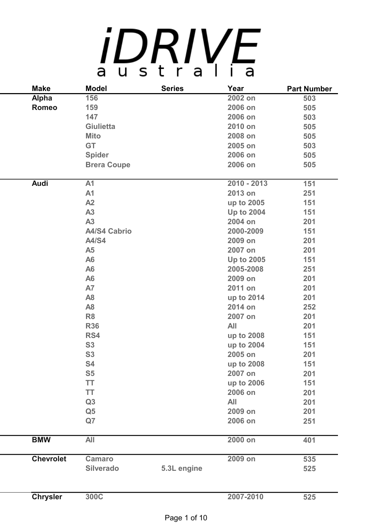## *iDRIVE*

| <b>Make</b>      | <b>Model</b>        | <b>Series</b> | Year              | <b>Part Number</b> |
|------------------|---------------------|---------------|-------------------|--------------------|
| <b>Alpha</b>     | 156                 |               | 2002 on           | 503                |
| <b>Romeo</b>     | 159                 |               | 2006 on           | 505                |
|                  | 147                 |               | 2006 on           | 503                |
|                  | <b>Giulietta</b>    |               | 2010 on           | 505                |
|                  | <b>Mito</b>         |               | 2008 on           | 505                |
|                  | <b>GT</b>           |               | 2005 on           | 503                |
|                  | <b>Spider</b>       |               | 2006 on           | 505                |
|                  | <b>Brera Coupe</b>  |               | 2006 on           | 505                |
| <b>Audi</b>      | A <sub>1</sub>      |               | 2010 - 2013       | 151                |
|                  | A <sub>1</sub>      |               | 2013 on           | 251                |
|                  | A2                  |               | up to 2005        | 151                |
|                  | A3                  |               | <b>Up to 2004</b> | 151                |
|                  | A3                  |               | 2004 on           | 201                |
|                  | <b>A4/S4 Cabrio</b> |               | 2000-2009         | 151                |
|                  | A4/S4               |               | 2009 on           | 201                |
|                  | <b>A5</b>           |               | 2007 on           | 201                |
|                  | A <sub>6</sub>      |               | <b>Up to 2005</b> | 151                |
|                  | A <sub>6</sub>      |               | 2005-2008         | 251                |
|                  | A <sub>6</sub>      |               | 2009 on           | 201                |
|                  | <b>A7</b>           |               | 2011 on           | 201                |
|                  | A <sub>8</sub>      |               | up to 2014        | 201                |
|                  | A <sub>8</sub>      |               | 2014 on           | 252                |
|                  | R <sub>8</sub>      |               | 2007 on           | 201                |
|                  | <b>R36</b>          |               | <b>All</b>        | 201                |
|                  | RS4                 |               | up to 2008        | 151                |
|                  | <b>S3</b>           |               | up to 2004        | 151                |
|                  | <b>S3</b>           |               | 2005 on           | 201                |
|                  | S4                  |               | up to 2008        | 151                |
|                  | <b>S5</b>           |               | 2007 on           | 201                |
|                  | <b>TT</b>           |               | up to 2006        | 151                |
|                  | TT                  |               | 2006 on           | 201                |
|                  | Q3                  |               | All               | 201                |
|                  | Q <sub>5</sub>      |               | 2009 on           | 201                |
|                  | Q7                  |               | 2006 on           | 251                |
| <b>BMW</b>       | <b>All</b>          |               | 2000 on           | 401                |
| <b>Chevrolet</b> | <b>Camaro</b>       |               | 2009 on           | 535                |
|                  | <b>Silverado</b>    | 5.3L engine   |                   | 525                |
|                  |                     |               |                   |                    |
| <b>Chrysler</b>  | 300C                |               | 2007-2010         | 525                |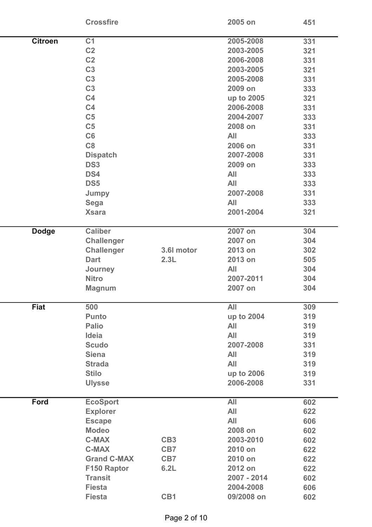|                | <b>Crossfire</b>   |                 | 2005 on     | 451 |
|----------------|--------------------|-----------------|-------------|-----|
| <b>Citroen</b> | C <sub>1</sub>     |                 | 2005-2008   | 331 |
|                | C <sub>2</sub>     |                 | 2003-2005   | 321 |
|                | C <sub>2</sub>     |                 | 2006-2008   | 331 |
|                | C <sub>3</sub>     |                 | 2003-2005   | 321 |
|                | C <sub>3</sub>     |                 | 2005-2008   | 331 |
|                | C <sub>3</sub>     |                 | 2009 on     | 333 |
|                | C <sub>4</sub>     |                 | up to 2005  | 321 |
|                | C <sub>4</sub>     |                 | 2006-2008   | 331 |
|                | C <sub>5</sub>     |                 | 2004-2007   | 333 |
|                | C <sub>5</sub>     |                 | 2008 on     | 331 |
|                | C6                 |                 | All         |     |
|                | C8                 |                 |             | 333 |
|                |                    |                 | 2006 on     | 331 |
|                | <b>Dispatch</b>    |                 | 2007-2008   | 331 |
|                | DS <sub>3</sub>    |                 | 2009 on     | 333 |
|                | DS4                |                 | <b>All</b>  | 333 |
|                | DS <sub>5</sub>    |                 | All         | 333 |
|                | Jumpy              |                 | 2007-2008   | 331 |
|                | <b>Sega</b>        |                 | <b>All</b>  | 333 |
|                | <b>Xsara</b>       |                 | 2001-2004   | 321 |
| <b>Dodge</b>   | <b>Caliber</b>     |                 | 2007 on     | 304 |
|                | <b>Challenger</b>  |                 | 2007 on     | 304 |
|                | <b>Challenger</b>  | 3.6I motor      | 2013 on     | 302 |
|                | <b>Dart</b>        | 2.3L            | 2013 on     | 505 |
|                | Journey            |                 | All         | 304 |
|                | <b>Nitro</b>       |                 | 2007-2011   | 304 |
|                | <b>Magnum</b>      |                 | 2007 on     | 304 |
| <b>Fiat</b>    | 500                |                 | <b>All</b>  | 309 |
|                | <b>Punto</b>       |                 | up to 2004  | 319 |
|                | <b>Palio</b>       |                 | <b>All</b>  | 319 |
|                | Ideia              |                 | All         | 319 |
|                | <b>Scudo</b>       |                 | 2007-2008   | 331 |
|                | <b>Siena</b>       |                 | <b>All</b>  | 319 |
|                | <b>Strada</b>      |                 | All         | 319 |
|                | <b>Stilo</b>       |                 | up to 2006  | 319 |
|                | <b>Ulysse</b>      |                 | 2006-2008   | 331 |
| <b>Ford</b>    | <b>EcoSport</b>    |                 | <b>All</b>  | 602 |
|                | <b>Explorer</b>    |                 | All         | 622 |
|                | <b>Escape</b>      |                 | All         | 606 |
|                | <b>Modeo</b>       |                 | 2008 on     | 602 |
|                | <b>C-MAX</b>       | CB <sub>3</sub> | 2003-2010   | 602 |
|                | <b>C-MAX</b>       | CB7             | 2010 on     | 622 |
|                | <b>Grand C-MAX</b> | CB7             | 2010 on     | 622 |
|                | F150 Raptor        | 6.2L            | 2012 on     | 622 |
|                | <b>Transit</b>     |                 | 2007 - 2014 | 602 |
|                | <b>Fiesta</b>      |                 | 2004-2008   | 606 |
|                | <b>Fiesta</b>      | CB1             | 09/2008 on  | 602 |
|                |                    |                 |             |     |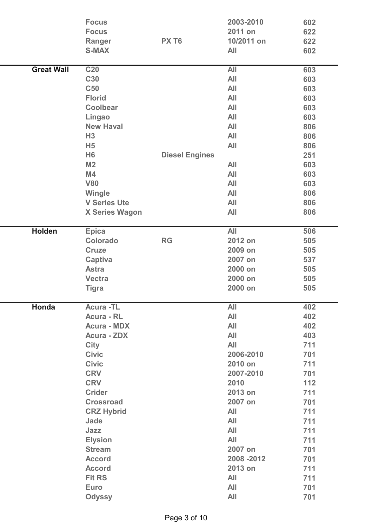|                   | <b>Focus</b><br><b>Focus</b><br>Ranger<br><b>S-MAX</b>                                                                                                                                                                                                                                                                                                      | PX T <sub>6</sub>     | 2003-2010<br>2011 on<br>10/2011 on<br><b>All</b>                                                                                                                                                                                   | 602<br>622<br>622<br>602                                                                                                                        |
|-------------------|-------------------------------------------------------------------------------------------------------------------------------------------------------------------------------------------------------------------------------------------------------------------------------------------------------------------------------------------------------------|-----------------------|------------------------------------------------------------------------------------------------------------------------------------------------------------------------------------------------------------------------------------|-------------------------------------------------------------------------------------------------------------------------------------------------|
| <b>Great Wall</b> | <b>C20</b><br><b>C30</b><br><b>C50</b><br><b>Florid</b><br><b>Coolbear</b><br>Lingao                                                                                                                                                                                                                                                                        |                       | All<br>All<br><b>All</b><br>All<br><b>All</b><br>All                                                                                                                                                                               | 603<br>603<br>603<br>603<br>603<br>603                                                                                                          |
|                   | <b>New Haval</b><br>H3<br>H <sub>5</sub><br>H <sub>6</sub><br>M <sub>2</sub><br>M4<br><b>V80</b>                                                                                                                                                                                                                                                            | <b>Diesel Engines</b> | <b>All</b><br>All<br>All<br>All<br>All<br><b>All</b>                                                                                                                                                                               | 806<br>806<br>806<br>251<br>603<br>603<br>603                                                                                                   |
|                   | Wingle<br><b>V Series Ute</b><br><b>X Series Wagon</b>                                                                                                                                                                                                                                                                                                      |                       | All<br>All<br><b>All</b>                                                                                                                                                                                                           | 806<br>806<br>806                                                                                                                               |
| <b>Holden</b>     | <b>Epica</b><br>Colorado<br><b>Cruze</b><br>Captiva<br><b>Astra</b><br><b>Vectra</b><br><b>Tigra</b>                                                                                                                                                                                                                                                        | <b>RG</b>             | All<br>2012 on<br>2009 on<br>2007 on<br>2000 on<br>2000 on<br>2000 on                                                                                                                                                              | 506<br>505<br>505<br>537<br>505<br>505<br>505                                                                                                   |
| Honda             | <b>Acura-TL</b><br><b>Acura - RL</b><br><b>Acura - MDX</b><br><b>Acura - ZDX</b><br><b>City</b><br><b>Civic</b><br><b>Civic</b><br><b>CRV</b><br><b>CRV</b><br><b>Crider</b><br><b>Crossroad</b><br><b>CRZ Hybrid</b><br>Jade<br>Jazz<br><b>Elysion</b><br><b>Stream</b><br><b>Accord</b><br><b>Accord</b><br><b>Fit RS</b><br><b>Euro</b><br><b>Odyssy</b> |                       | All<br>All<br><b>All</b><br>All<br><b>All</b><br>2006-2010<br>2010 on<br>2007-2010<br>2010<br>2013 on<br>2007 on<br><b>All</b><br>All<br><b>All</b><br><b>All</b><br>2007 on<br>2008 - 2012<br>2013 on<br><b>All</b><br>All<br>All | 402<br>402<br>402<br>403<br>711<br>701<br>711<br>701<br>112<br>711<br>701<br>711<br>711<br>711<br>711<br>701<br>701<br>711<br>711<br>701<br>701 |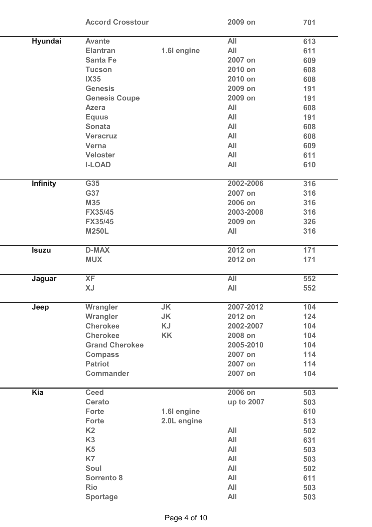|                 | <b>Accord Crosstour</b> |             | 2009 on    | 701 |  |
|-----------------|-------------------------|-------------|------------|-----|--|
| Hyundai         | <b>Avante</b>           |             | All        | 613 |  |
|                 | <b>Elantran</b>         | 1.6I engine | All        | 611 |  |
|                 | <b>Santa Fe</b>         |             | 2007 on    | 609 |  |
|                 | <b>Tucson</b>           |             | 2010 on    | 608 |  |
|                 | <b>IX35</b>             |             | 2010 on    | 608 |  |
|                 | <b>Genesis</b>          |             | 2009 on    | 191 |  |
|                 | <b>Genesis Coupe</b>    |             | 2009 on    | 191 |  |
|                 | <b>Azera</b>            |             | <b>All</b> | 608 |  |
|                 | <b>Equus</b>            |             | <b>All</b> | 191 |  |
|                 | <b>Sonata</b>           |             | <b>All</b> | 608 |  |
|                 | <b>Veracruz</b>         |             | <b>All</b> | 608 |  |
|                 | <b>Verna</b>            |             | <b>All</b> | 609 |  |
|                 | <b>Veloster</b>         |             | <b>All</b> | 611 |  |
|                 | <b>I-LOAD</b>           |             | <b>All</b> | 610 |  |
|                 |                         |             |            |     |  |
| <b>Infinity</b> | G35                     |             | 2002-2006  | 316 |  |
|                 | G37                     |             | 2007 on    | 316 |  |
|                 | <b>M35</b>              |             | 2006 on    | 316 |  |
|                 | <b>FX35/45</b>          |             | 2003-2008  | 316 |  |
|                 | <b>FX35/45</b>          |             | 2009 on    | 326 |  |
|                 | <b>M250L</b>            |             | All        | 316 |  |
| <b>Isuzu</b>    | <b>D-MAX</b>            |             | 2012 on    | 171 |  |
|                 | <b>MUX</b>              |             | 2012 on    | 171 |  |
| Jaguar          | <b>XF</b>               |             | All        | 552 |  |
|                 | <b>XJ</b>               |             | <b>All</b> | 552 |  |
|                 |                         |             |            |     |  |
| Jeep            | Wrangler                | <b>JK</b>   | 2007-2012  | 104 |  |
|                 | Wrangler                | <b>JK</b>   | 2012 on    | 124 |  |
|                 | <b>Cherokee</b>         | <b>KJ</b>   | 2002-2007  | 104 |  |
|                 | <b>Cherokee</b>         | <b>KK</b>   | 2008 on    | 104 |  |
|                 | <b>Grand Cherokee</b>   |             | 2005-2010  | 104 |  |
|                 | <b>Compass</b>          |             | 2007 on    | 114 |  |
|                 | <b>Patriot</b>          |             | 2007 on    | 114 |  |
|                 | <b>Commander</b>        |             | 2007 on    | 104 |  |
| Kia             | <b>Ceed</b>             |             | 2006 on    | 503 |  |
|                 | <b>Cerato</b>           |             | up to 2007 | 503 |  |
|                 | <b>Forte</b>            | 1.6I engine |            | 610 |  |
|                 | <b>Forte</b>            | 2.0L engine |            | 513 |  |
|                 | K <sub>2</sub>          |             | <b>All</b> | 502 |  |
|                 | K <sub>3</sub>          |             | <b>All</b> | 631 |  |
|                 |                         |             | <b>All</b> | 503 |  |
|                 | K <sub>5</sub>          |             |            |     |  |
|                 | K7                      |             | All        | 503 |  |
|                 | Soul                    |             | All        | 502 |  |
|                 | <b>Sorrento 8</b>       |             | <b>All</b> | 611 |  |
|                 | <b>Rio</b>              |             | <b>All</b> | 503 |  |
|                 | <b>Sportage</b>         |             | All        | 503 |  |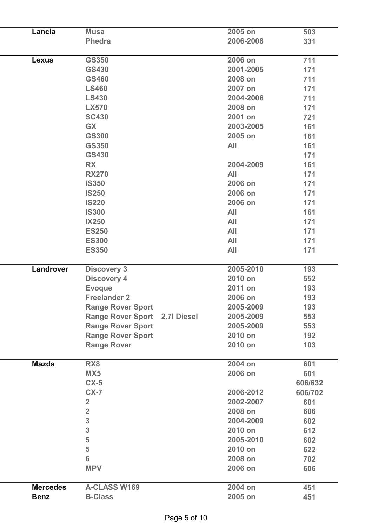| Lancia          | <b>Musa</b>                          | 2005 on    | 503     |
|-----------------|--------------------------------------|------------|---------|
|                 | <b>Phedra</b>                        | 2006-2008  | 331     |
|                 |                                      |            |         |
| <b>Lexus</b>    | <b>GS350</b>                         | 2006 on    | 711     |
|                 | <b>GS430</b>                         | 2001-2005  | 171     |
|                 | <b>GS460</b>                         | 2008 on    | 711     |
|                 | <b>LS460</b>                         | 2007 on    | 171     |
|                 | <b>LS430</b>                         | 2004-2006  | 711     |
|                 | <b>LX570</b>                         | 2008 on    | 171     |
|                 | <b>SC430</b>                         | 2001 on    | 721     |
|                 | <b>GX</b>                            | 2003-2005  | 161     |
|                 | <b>GS300</b>                         | 2005 on    | 161     |
|                 | <b>GS350</b>                         | All        | 161     |
|                 | <b>GS430</b>                         |            | 171     |
|                 | <b>RX</b>                            | 2004-2009  | 161     |
|                 | <b>RX270</b>                         | All        | 171     |
|                 | <b>IS350</b>                         | 2006 on    | 171     |
|                 | <b>IS250</b>                         | 2006 on    | 171     |
|                 | <b>IS220</b>                         | 2006 on    | 171     |
|                 | <b>IS300</b>                         | <b>All</b> | 161     |
|                 | <b>IX250</b>                         | <b>All</b> | 171     |
|                 | <b>ES250</b>                         | All        | 171     |
|                 | <b>ES300</b>                         | <b>All</b> | 171     |
|                 | <b>ES350</b>                         | <b>All</b> | 171     |
|                 |                                      |            |         |
| Landrover       | <b>Discovery 3</b>                   | 2005-2010  | 193     |
|                 | <b>Discovery 4</b>                   | 2010 on    | 552     |
|                 | <b>Evoque</b>                        | 2011 on    | 193     |
|                 | <b>Freelander 2</b>                  | 2006 on    | 193     |
|                 | <b>Range Rover Sport</b>             | 2005-2009  | 193     |
|                 | <b>Range Rover Sport 2.7I Diesel</b> | 2005-2009  | 553     |
|                 | <b>Range Rover Sport</b>             | 2005-2009  | 553     |
|                 | <b>Range Rover Sport</b>             | 2010 on    | 192     |
|                 | <b>Range Rover</b>                   | 2010 on    | 103     |
| <b>Mazda</b>    | RX <sub>8</sub>                      | 2004 on    | 601     |
|                 | MX5                                  | 2006 on    | 601     |
|                 | $CX-5$                               |            | 606/632 |
|                 | $CX-7$                               | 2006-2012  | 606/702 |
|                 | $\overline{2}$                       | 2002-2007  | 601     |
|                 | $\overline{2}$                       | 2008 on    | 606     |
|                 | 3                                    | 2004-2009  | 602     |
|                 | 3                                    | 2010 on    | 612     |
|                 | 5                                    | 2005-2010  | 602     |
|                 | 5                                    | 2010 on    | 622     |
|                 | 6                                    | 2008 on    | 702     |
|                 | <b>MPV</b>                           | 2006 on    | 606     |
| <b>Mercedes</b> | <b>A-CLASS W169</b>                  | 2004 on    | 451     |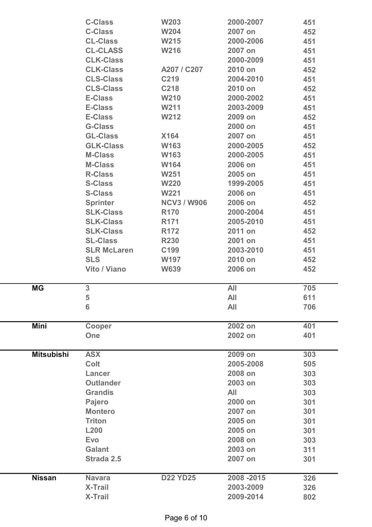|                   | <b>C-Class</b>     | <b>W203</b>        | 2000-2007   | 451 |
|-------------------|--------------------|--------------------|-------------|-----|
|                   | <b>C-Class</b>     | <b>W204</b>        | 2007 on     | 452 |
|                   | <b>CL-Class</b>    | W215               | 2000-2006   | 451 |
|                   | <b>CL-CLASS</b>    | <b>W216</b>        | 2007 on     | 451 |
|                   | <b>CLK-Class</b>   |                    | 2000-2009   | 451 |
|                   | <b>CLK-Class</b>   | A207 / C207        | 2010 on     | 452 |
|                   | <b>CLS-Class</b>   | C219               | 2004-2010   | 451 |
|                   | <b>CLS-Class</b>   | C218               | 2010 on     | 452 |
|                   | <b>E-Class</b>     | <b>W210</b>        | 2000-2002   | 451 |
|                   | <b>E-Class</b>     | W211               | 2003-2009   | 451 |
|                   | <b>E-Class</b>     | <b>W212</b>        | 2009 on     | 452 |
|                   | <b>G-Class</b>     |                    | 2000 on     | 451 |
|                   | <b>GL-Class</b>    | <b>X164</b>        | 2007 on     | 451 |
|                   | <b>GLK-Class</b>   | W163               | 2000-2005   |     |
|                   |                    |                    |             | 452 |
|                   | <b>M-Class</b>     | W163               | 2000-2005   | 451 |
|                   | <b>M-Class</b>     | W164               | 2006 on     | 451 |
|                   | <b>R-Class</b>     | <b>W251</b>        | 2005 on     | 451 |
|                   | <b>S-Class</b>     | <b>W220</b>        | 1999-2005   | 451 |
|                   | <b>S-Class</b>     | <b>W221</b>        | 2006 on     | 451 |
|                   | <b>Sprinter</b>    | <b>NCV3 / W906</b> | 2006 on     | 452 |
|                   | <b>SLK-Class</b>   | <b>R170</b>        | 2000-2004   | 451 |
|                   | <b>SLK-Class</b>   | R <sub>171</sub>   | 2005-2010   | 451 |
|                   | <b>SLK-Class</b>   | R <sub>172</sub>   | 2011 on     | 452 |
|                   | <b>SL-Class</b>    | <b>R230</b>        | 2001 on     | 451 |
|                   | <b>SLR McLaren</b> | C199               | 2003-2010   | 451 |
|                   | <b>SLS</b>         | <b>W197</b>        | 2010 on     | 452 |
|                   | Vito / Viano       | <b>W639</b>        | 2006 on     | 452 |
|                   |                    |                    |             |     |
| <b>MG</b>         | 3                  |                    | <b>All</b>  | 705 |
|                   | 5                  |                    | All         | 611 |
|                   | 6                  |                    | All         | 706 |
|                   |                    |                    |             |     |
| Mini              | Cooper             |                    | 2002 on     | 401 |
|                   | One                |                    | 2002 on     | 401 |
|                   |                    |                    |             |     |
| <b>Mitsubishi</b> | <b>ASX</b>         |                    | 2009 on     | 303 |
|                   | <b>Colt</b>        |                    | 2005-2008   | 505 |
|                   | Lancer             |                    | 2008 on     | 303 |
|                   | <b>Outlander</b>   |                    | 2003 on     | 303 |
|                   | <b>Grandis</b>     |                    | <b>All</b>  | 303 |
|                   | Pajero             |                    | 2000 on     | 301 |
|                   | <b>Montero</b>     |                    | 2007 on     | 301 |
|                   | <b>Triton</b>      |                    | 2005 on     | 301 |
|                   | <b>L200</b>        |                    | 2005 on     | 301 |
|                   | <b>Evo</b>         |                    | 2008 on     | 303 |
|                   | <b>Galant</b>      |                    | 2003 on     | 311 |
|                   | Strada 2.5         |                    | 2007 on     | 301 |
|                   |                    |                    |             |     |
| <b>Nissan</b>     | <b>Navara</b>      | <b>D22 YD25</b>    | 2008 - 2015 | 326 |
|                   | <b>X-Trail</b>     |                    | 2003-2009   | 326 |
|                   | <b>X-Trail</b>     |                    | 2009-2014   | 802 |
|                   |                    |                    |             |     |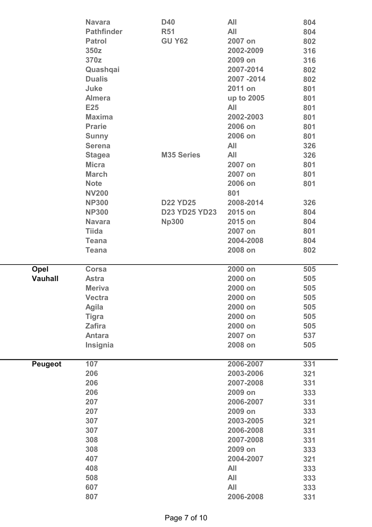|                | <b>Navara</b>     | <b>D40</b>           | <b>All</b>       | 804        |
|----------------|-------------------|----------------------|------------------|------------|
|                | <b>Pathfinder</b> | <b>R51</b>           | All              | 804        |
|                | <b>Patrol</b>     | <b>GU Y62</b>        | 2007 on          | 802        |
|                | 350z              |                      | 2002-2009        | 316        |
|                | 370z              |                      | 2009 on          | 316        |
|                | Quashqai          |                      | 2007-2014        | 802        |
|                | <b>Dualis</b>     |                      | 2007-2014        | 802        |
|                | Juke              |                      | 2011 on          | 801        |
|                | <b>Almera</b>     |                      | up to 2005       | 801        |
|                | <b>E25</b>        |                      | All              | 801        |
|                | <b>Maxima</b>     |                      | 2002-2003        | 801        |
|                | <b>Prarie</b>     |                      | 2006 on          | 801        |
|                | <b>Sunny</b>      |                      | 2006 on          | 801        |
|                | <b>Serena</b>     |                      | <b>All</b>       | 326        |
|                | <b>Stagea</b>     | <b>M35 Series</b>    | All              | 326        |
|                | <b>Micra</b>      |                      | 2007 on          | 801        |
|                | <b>March</b>      |                      | 2007 on          | 801        |
|                | <b>Note</b>       |                      | 2006 on          | 801        |
|                | <b>NV200</b>      |                      | 801              |            |
|                | <b>NP300</b>      | <b>D22 YD25</b>      | 2008-2014        | 326        |
|                | <b>NP300</b>      | <b>D23 YD25 YD23</b> | 2015 on          | 804        |
|                | <b>Navara</b>     | <b>Np300</b>         | 2015 on          | 804        |
|                | <b>Tiida</b>      |                      | 2007 on          | 801        |
|                | <b>Teana</b>      |                      | 2004-2008        | 804        |
|                | <b>Teana</b>      |                      | 2008 on          | 802        |
|                |                   |                      |                  |            |
|                |                   |                      |                  |            |
| Opel           | <b>Corsa</b>      |                      | 2000 on          | 505        |
| <b>Vauhall</b> | <b>Astra</b>      |                      | 2000 on          | 505        |
|                | <b>Meriva</b>     |                      | 2000 on          | 505        |
|                | <b>Vectra</b>     |                      | 2000 on          | 505        |
|                | <b>Agila</b>      |                      | 2000 on          | 505        |
|                | <b>Tigra</b>      |                      | 2000 on          | 505        |
|                | <b>Zafira</b>     |                      | 2000 on          | 505        |
|                | <b>Antara</b>     |                      | 2007 on          | 537        |
|                | Insignia          |                      | 2008 on          | 505        |
|                | 107               |                      | 2006-2007        | 331        |
| <b>Peugeot</b> | 206               |                      | 2003-2006        |            |
|                | 206               |                      | 2007-2008        | 321<br>331 |
|                | 206               |                      | 2009 on          |            |
|                | 207               |                      | 2006-2007        | 333<br>331 |
|                | 207               |                      | 2009 on          |            |
|                |                   |                      | 2003-2005        | 333        |
|                | 307<br>307        |                      | 2006-2008        | 321        |
|                | 308               |                      | 2007-2008        | 331        |
|                |                   |                      |                  | 331        |
|                | 308               |                      | 2009 on          | 333        |
|                | 407               |                      | 2004-2007        | 321        |
|                | 408               |                      | <b>All</b>       | 333        |
|                | 508               |                      | <b>All</b>       | 333        |
|                | 607<br>807        |                      | All<br>2006-2008 | 333<br>331 |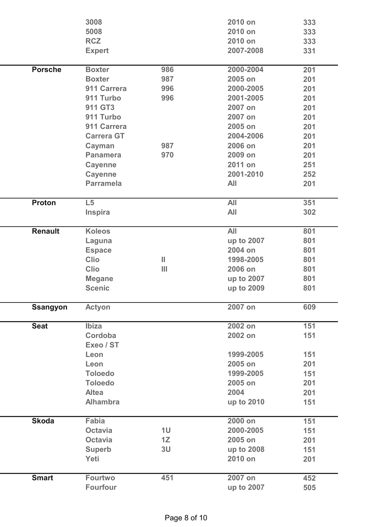|                 | 3008                 |                | 2010 on    | 333 |
|-----------------|----------------------|----------------|------------|-----|
|                 | 5008                 |                | 2010 on    | 333 |
|                 | <b>RCZ</b>           |                | 2010 on    | 333 |
|                 | <b>Expert</b>        |                | 2007-2008  | 331 |
| <b>Porsche</b>  | <b>Boxter</b>        | 986            | 2000-2004  | 201 |
|                 | <b>Boxter</b>        | 987            | 2005 on    | 201 |
|                 | 911 Carrera          | 996            | 2000-2005  | 201 |
|                 | 911 Turbo            | 996            | 2001-2005  | 201 |
|                 | 911 GT3              |                | 2007 on    | 201 |
|                 | 911 Turbo            |                | 2007 on    | 201 |
|                 | 911 Carrera          |                | 2005 on    | 201 |
|                 | <b>Carrera GT</b>    |                | 2004-2006  | 201 |
|                 | Cayman               | 987            | 2006 on    | 201 |
|                 | <b>Panamera</b>      | 970            | 2009 on    | 201 |
|                 | <b>Cayenne</b>       |                | 2011 on    | 251 |
|                 | <b>Cayenne</b>       |                | 2001-2010  | 252 |
|                 | <b>Parramela</b>     |                | <b>All</b> | 201 |
| Proton          | L5                   |                | All        | 351 |
|                 | Inspira              |                | <b>All</b> | 302 |
| <b>Renault</b>  | <b>Koleos</b>        |                | <b>All</b> | 801 |
|                 | Laguna               |                | up to 2007 | 801 |
|                 | <b>Espace</b>        |                | 2004 on    | 801 |
|                 | <b>Clio</b>          | Ш              | 1998-2005  | 801 |
|                 | <b>Clio</b>          | Ш              | 2006 on    | 801 |
|                 | <b>Megane</b>        |                | up to 2007 | 801 |
|                 | <b>Scenic</b>        |                | up to 2009 | 801 |
| <b>Ssangyon</b> | <b>Actyon</b>        |                | 2007 on    | 609 |
| <b>Seat</b>     | Ibiza                |                | 2002 on    | 151 |
|                 | Cordoba<br>Exeo / ST |                | 2002 on    | 151 |
|                 | Leon                 |                | 1999-2005  | 151 |
|                 | Leon                 |                | 2005 on    | 201 |
|                 | <b>Toloedo</b>       |                | 1999-2005  | 151 |
|                 | <b>Toloedo</b>       |                | 2005 on    | 201 |
|                 | <b>Altea</b>         |                | 2004       | 201 |
|                 | <b>Alhambra</b>      |                | up to 2010 | 151 |
| <b>Skoda</b>    | <b>Fabia</b>         |                | 2000 on    | 151 |
|                 | <b>Octavia</b>       | 1 <sub>U</sub> | 2000-2005  | 151 |
|                 | <b>Octavia</b>       | 1Z             | 2005 on    | 201 |
|                 | <b>Superb</b>        | 3U             | up to 2008 | 151 |
|                 | Yeti                 |                | 2010 on    | 201 |
| <b>Smart</b>    | <b>Fourtwo</b>       | 451            | 2007 on    | 452 |
|                 | <b>Fourfour</b>      |                | up to 2007 | 505 |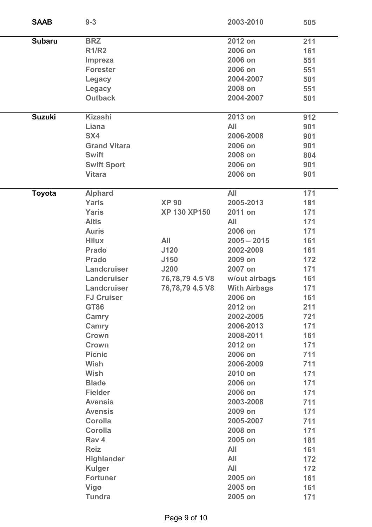| <b>SAAB</b>   | $9 - 3$             |                     | 2003-2010           | 505 |
|---------------|---------------------|---------------------|---------------------|-----|
| <b>Subaru</b> | <b>BRZ</b>          |                     | 2012 on             | 211 |
|               | <b>R1/R2</b>        |                     | 2006 on             | 161 |
|               | <b>Impreza</b>      |                     | 2006 on             | 551 |
|               | <b>Forester</b>     |                     | 2006 on             | 551 |
|               | Legacy              |                     | 2004-2007           | 501 |
|               | <b>Legacy</b>       |                     | 2008 on             | 551 |
|               | <b>Outback</b>      |                     | 2004-2007           | 501 |
| <b>Suzuki</b> | <b>Kizashi</b>      |                     | 2013 on             | 912 |
|               | Liana               |                     | <b>All</b>          | 901 |
|               | SX4                 |                     | 2006-2008           | 901 |
|               | <b>Grand Vitara</b> |                     | 2006 on             | 901 |
|               | <b>Swift</b>        |                     | 2008 on             | 804 |
|               | <b>Swift Sport</b>  |                     | 2006 on             | 901 |
|               | <b>Vitara</b>       |                     | 2006 on             | 901 |
| <b>Toyota</b> | <b>Alphard</b>      |                     | <b>All</b>          | 171 |
|               | <b>Yaris</b>        | <b>XP 90</b>        | 2005-2013           | 181 |
|               | <b>Yaris</b>        | <b>XP 130 XP150</b> | 2011 on             | 171 |
|               | <b>Altis</b>        |                     | <b>All</b>          | 171 |
|               | <b>Auris</b>        |                     | 2006 on             | 171 |
|               | <b>Hilux</b>        | All                 | $2005 - 2015$       | 161 |
|               | <b>Prado</b>        | J120                | 2002-2009           | 161 |
|               | <b>Prado</b>        | J150                | 2009 on             | 172 |
|               | Landcruiser         | <b>J200</b>         | 2007 on             | 171 |
|               | Landcruiser         | 76,78,79 4.5 V8     | w/out airbags       | 161 |
|               | Landcruiser         | 76,78,79 4.5 V8     | <b>With Airbags</b> | 171 |
|               | <b>FJ Cruiser</b>   |                     | 2006 on             | 161 |
|               | <b>GT86</b>         |                     | 2012 on             | 211 |
|               | Camry               |                     | 2002-2005           | 721 |
|               | Camry               |                     | 2006-2013           | 171 |
|               | Crown               |                     | 2008-2011           | 161 |
|               | Crown               |                     | 2012 on             | 171 |
|               | <b>Picnic</b>       |                     | 2006 on             | 711 |
|               | <b>Wish</b>         |                     | 2006-2009           | 711 |
|               | <b>Wish</b>         |                     | 2010 on             | 171 |
|               | <b>Blade</b>        |                     | 2006 on             | 171 |
|               | <b>Fielder</b>      |                     | 2006 on             | 171 |
|               | <b>Avensis</b>      |                     | 2003-2008           | 711 |
|               | <b>Avensis</b>      |                     | 2009 on             | 171 |
|               | <b>Corolla</b>      |                     | 2005-2007           | 711 |
|               | <b>Corolla</b>      |                     | 2008 on             | 171 |
|               | Rav 4               |                     | 2005 on             | 181 |
|               | <b>Reiz</b>         |                     | <b>All</b>          | 161 |
|               | <b>Highlander</b>   |                     | All                 | 172 |
|               | <b>Kulger</b>       |                     | All                 | 172 |
|               | <b>Fortuner</b>     |                     | 2005 on             | 161 |
|               | <b>Vigo</b>         |                     | 2005 on             | 161 |
|               | <b>Tundra</b>       |                     | 2005 on             | 171 |